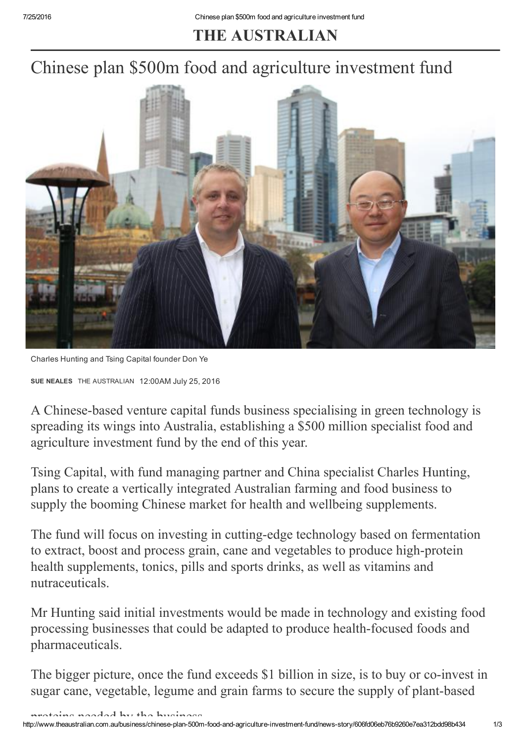## THE AUSTRALIAN

## Chinese plan \$500m food and agriculture investment fund



Charles Hunting and Tsing Capital founder Don Ye

SUE [NEALES](http://www.theaustralian.com.au/author/Sue+Neales) THE AUSTRALIAN 12:00AM July 25, 2016

A Chinese-based venture capital funds business specialising in green technology is spreading its wings into Australia, establishing a \$500 million specialist food and agriculture investment fund by the end of this year.

Tsing Capital, with fund managing partner and China specialist Charles Hunting, plans to create a vertically integrated Australian farming and food business to supply the booming Chinese market for health and wellbeing supplements.

The fund will focus on investing in cutting-edge technology based on fermentation to extract, boost and process grain, cane and vegetables to produce high-protein health supplements, tonics, pills and sports drinks, as well as vitamins and nutraceuticals.

Mr Hunting said initial investments would be made in technology and existing food processing businesses that could be adapted to produce health-focused foods and pharmaceuticals.

The bigger picture, once the fund exceeds \$1 billion in size, is to buy or co-invest in sugar cane, vegetable, legume and grain farms to secure the supply of plant-based

principal and a distribution in the business.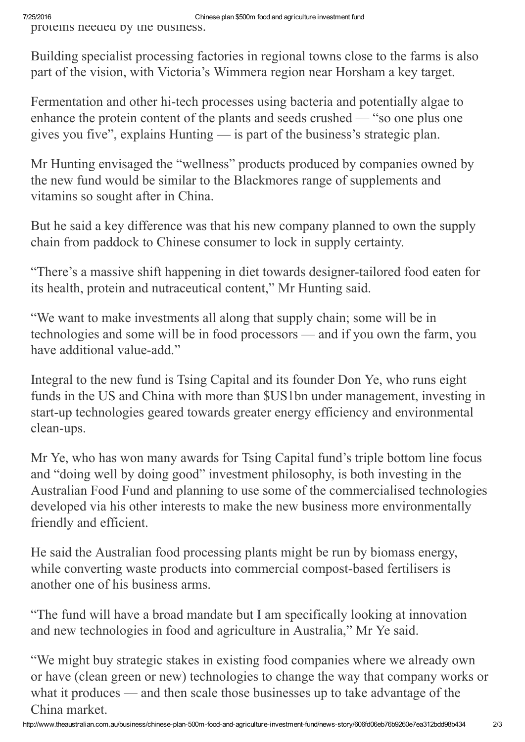Building specialist processing factories in regional towns close to the farms is also part of the vision, with Victoria's Wimmera region near Horsham a key target.

Fermentation and other hi-tech processes using bacteria and potentially algae to enhance the protein content of the plants and seeds crushed — "so one plus one gives you five", explains Hunting — is part of the business's strategic plan.

Mr Hunting envisaged the "wellness" products produced by companies owned by the new fund would be similar to the Blackmores range of supplements and vitamins so sought after in China.

But he said a key difference was that his new company planned to own the supply chain from paddock to Chinese consumer to lock in supply certainty.

"There's a massive shift happening in diet towards designer-tailored food eaten for its health, protein and nutraceutical content," Mr Hunting said.

"We want to make investments all along that supply chain; some will be in technologies and some will be in food processors — and if you own the farm, you have additional value-add."

Integral to the new fund is Tsing Capital and its founder Don Ye, who runs eight funds in the US and China with more than \$US1bn under management, investing in start-up technologies geared towards greater energy efficiency and environmental clean-ups.

Mr Ye, who has won many awards for Tsing Capital fund's triple bottom line focus and "doing well by doing good" investment philosophy, is both investing in the Australian Food Fund and planning to use some of the commercialised technologies developed via his other interests to make the new business more environmentally friendly and efficient.

He said the Australian food processing plants might be run by biomass energy, while converting waste products into commercial compost-based fertilisers is another one of his business arms.

"The fund will have a broad mandate but I am specifically looking at innovation and new technologies in food and agriculture in Australia," Mr Ye said.

"We might buy strategic stakes in existing food companies where we already own or have (clean green or new) technologies to change the way that company works or what it produces — and then scale those businesses up to take advantage of the China market.